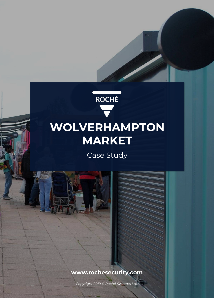

Case Study

# **[www.rochesecurity.com](http://www.rochesecurity.com)**

*Copyright 2019 © Roché Systems Ltd.*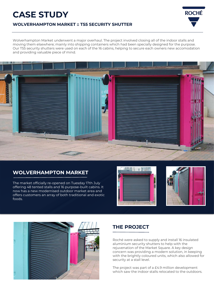# **CASE STUDY**



**ROCHÉ** 

#### **WOLVERHAMPTON MARKET :: T55 SECURITY SHUTTER**

Wolverhampton Market underwent a major overhaul. The project involved closing all of the indoor stalls and moving them elsewhere; mainly into shipping containers which had been specially designed for the purpose. Our T55 security shutters were used on each of the 16 cabins, helping to secure each owners new accomodation and providing valuable piece of mind.



## **WOLVERHAMPTON MARKET**

The market officially re-opened on Tuesday 17th July offering 48 tented stalls and 16 purpose-built cabins. It now has a new modernised outdoor market area and offers customers an array of both traditional and exotic foods.





### **THE PROJECT**

Roché were asked to supply and install 16 insulated aluminium security shutters to help with the rejuvenation of the Market Square. A key design concern was providing a modern solution, in keeping with the brightly coloured units, which also allowed for security at a stall level.

The project was part of a £4.9 million development which saw the indoor stalls relocated to the outdoors.